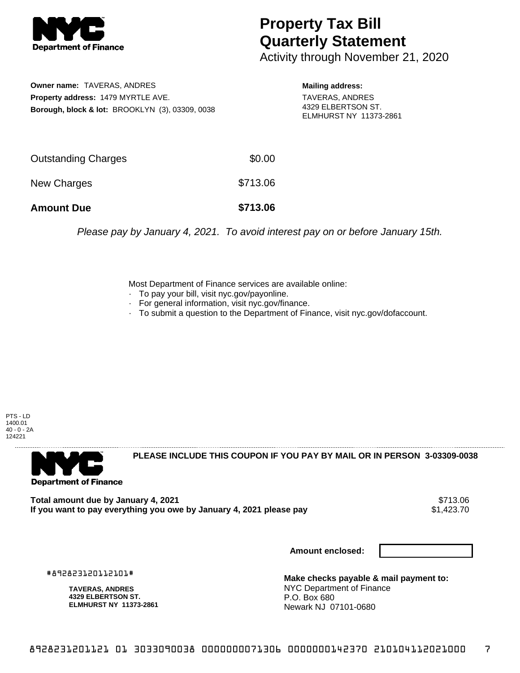

## **Property Tax Bill Quarterly Statement**

Activity through November 21, 2020

**Owner name:** TAVERAS, ANDRES **Property address:** 1479 MYRTLE AVE. **Borough, block & lot:** BROOKLYN (3), 03309, 0038 **Mailing address:** TAVERAS, ANDRES 4329 ELBERTSON ST. ELMHURST NY 11373-2861

| <b>Amount Due</b>          | \$713.06 |
|----------------------------|----------|
| New Charges                | \$713.06 |
| <b>Outstanding Charges</b> | \$0.00   |

Please pay by January 4, 2021. To avoid interest pay on or before January 15th.

Most Department of Finance services are available online:

- · To pay your bill, visit nyc.gov/payonline.
- For general information, visit nyc.gov/finance.
- · To submit a question to the Department of Finance, visit nyc.gov/dofaccount.

PTS - LD 1400.01 40 - 0 - 2A 124221



**PLEASE INCLUDE THIS COUPON IF YOU PAY BY MAIL OR IN PERSON 3-03309-0038** 

Total amount due by January 4, 2021<br>If you want to pay everything you owe by January 4, 2021 please pay **ship in the set of the set of the s**1,423.70 If you want to pay everything you owe by January 4, 2021 please pay

**Amount enclosed:**

#892823120112101#

**TAVERAS, ANDRES 4329 ELBERTSON ST. ELMHURST NY 11373-2861**

**Make checks payable & mail payment to:** NYC Department of Finance P.O. Box 680 Newark NJ 07101-0680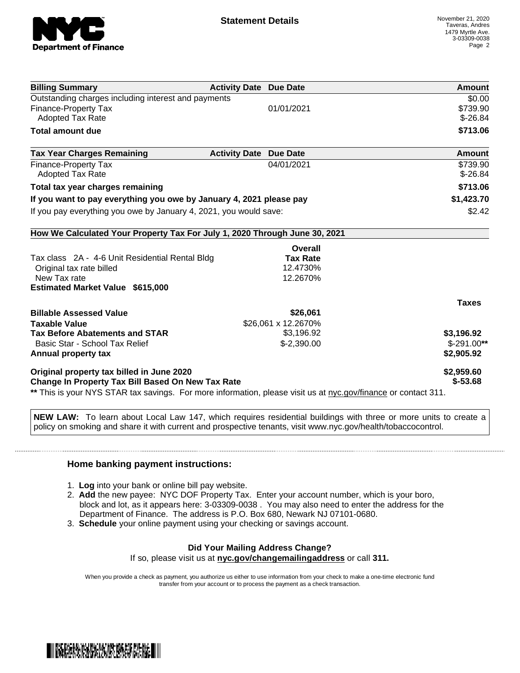

| \$0.00<br>\$739.90<br>$$-26.84$<br>\$713.06<br><b>Amount</b> |
|--------------------------------------------------------------|
|                                                              |
|                                                              |
|                                                              |
|                                                              |
|                                                              |
| \$739.90                                                     |
| $$ -26.84$                                                   |
| \$713.06                                                     |
| \$1,423.70                                                   |
| \$2.42                                                       |
|                                                              |
|                                                              |
|                                                              |
|                                                              |
|                                                              |
|                                                              |
| <b>Taxes</b>                                                 |
|                                                              |
|                                                              |
| \$3,196.92                                                   |
| $$-291.00**$                                                 |
| \$2,905.92                                                   |
|                                                              |
| \$2,959.60<br>$$ -53.68$                                     |
|                                                              |

**NEW LAW:** To learn about Local Law 147, which requires residential buildings with three or more units to create a policy on smoking and share it with current and prospective tenants, visit www.nyc.gov/health/tobaccocontrol.

## **Home banking payment instructions:**

- 1. **Log** into your bank or online bill pay website.
- 2. **Add** the new payee: NYC DOF Property Tax. Enter your account number, which is your boro, block and lot, as it appears here: 3-03309-0038 . You may also need to enter the address for the Department of Finance. The address is P.O. Box 680, Newark NJ 07101-0680.
- 3. **Schedule** your online payment using your checking or savings account.

## **Did Your Mailing Address Change?**

If so, please visit us at **nyc.gov/changemailingaddress** or call **311.**

When you provide a check as payment, you authorize us either to use information from your check to make a one-time electronic fund transfer from your account or to process the payment as a check transaction.